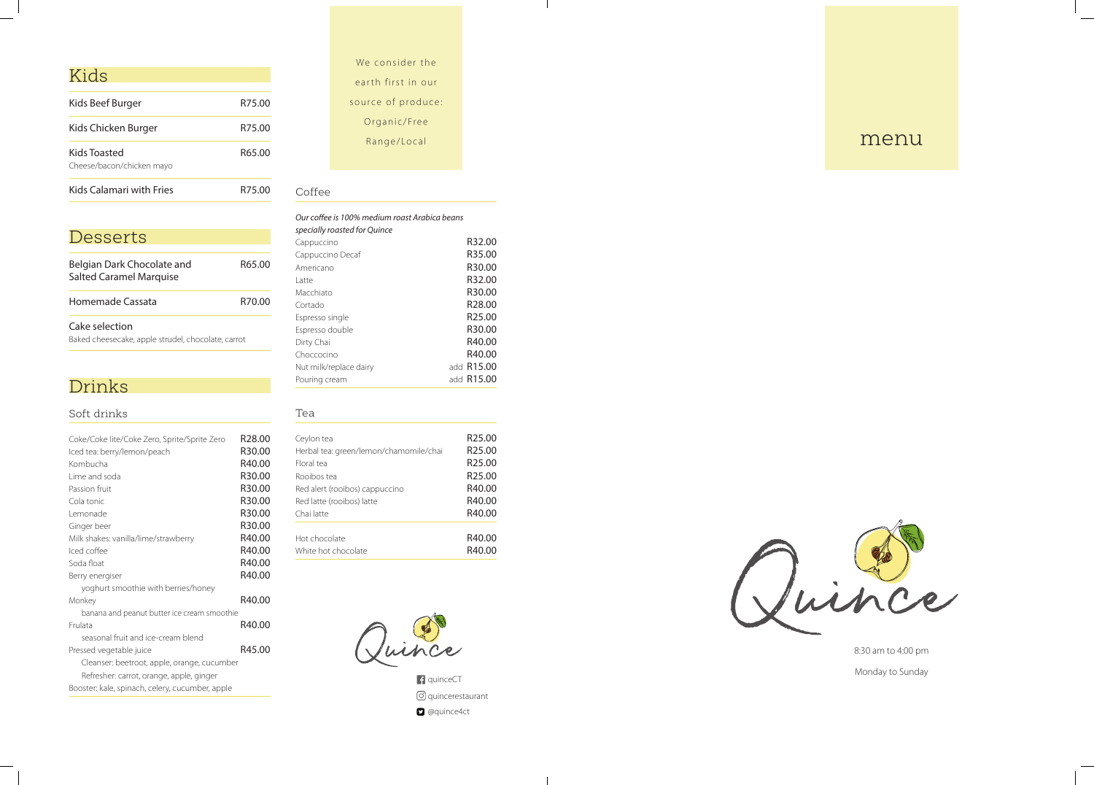# Kids

| <b>Kids Calamari with Fries</b>           | R75.00 |
|-------------------------------------------|--------|
| Kids Toasted<br>Cheese/bacon/chicken mayo | R65.00 |
| Kids Chicken Burger                       | R75.00 |
| Kids Beef Burger                          | R75.00 |
|                                           |        |

# Desserts

| Belgian Dark Chocolate and<br><b>Salted Caramel Marquise</b>      | R65.00 |
|-------------------------------------------------------------------|--------|
| Homemade Cassata                                                  | R70.00 |
| Cake selection<br>Paked cheesecake apple strudel checolate carret |        |

Baked cheesecake, apple strudel, chocolate, carrot

# Drinks

### Soft drinks

| Coke/Coke lite/Coke Zero, Sprite/Sprite Zero    | R28.00 |
|-------------------------------------------------|--------|
| Iced tea: berry/lemon/peach                     | R30.00 |
| Kombucha                                        | R40.00 |
| Lime and soda                                   | R30.00 |
| Passion fruit                                   | R30.00 |
| Cola tonic                                      | R30.00 |
| Lemonade                                        | R30.00 |
| Ginger beer                                     | R30.00 |
| Milk shakes: vanilla/lime/strawberry            | R40.00 |
| Iced coffee                                     | R40.00 |
| Soda float                                      | R40.00 |
| Berry energiser                                 | R40.00 |
| yoghurt smoothie with berries/honey             |        |
| Monkey                                          | R40.00 |
| banana and peanut butter ice cream smoothie     |        |
| Erulata                                         | R40.00 |
| seasonal fruit and ice-cream blend              |        |
| Pressed vegetable juice                         | R45.00 |
| Cleanser: beetroot, apple, orange, cucumber     |        |
| Refresher: carrot, orange, apple, ginger        |        |
| Booster: kale, spinach, celery, cucumber, apple |        |

# We consider the e arth first in our source of produce: Organic/Free Range/Local

 $\mathbb{R}$ 

### Coffee

#### *Our coffee is 100% medium roast Arabica beans specially roasted for Quince*

| specially roasted for Quince |                    |
|------------------------------|--------------------|
| Cappuccino                   | R32.00             |
| Cappuccino Decaf             | R35.00             |
| Americano                    | R30.00             |
| Latte                        | R32.00             |
| Macchiato                    | R30.00             |
| Cortado                      | R <sub>28.00</sub> |
| Espresso single              | R <sub>25.00</sub> |
| Espresso double              | R30.00             |
| Dirty Chai                   | R40.00             |
| Choccocino                   | R40.00             |
| Nut milk/replace dairy       | add <b>R15.00</b>  |
| Pouring cream                | add R15.00         |
|                              |                    |

#### Tea

| Ceylon tea                             | R <sub>25.00</sub> |
|----------------------------------------|--------------------|
| Herbal tea: green/lemon/chamomile/chai | R <sub>25.00</sub> |
| Floral tea                             | R <sub>25.00</sub> |
| Rooibos tea                            | R <sub>25.00</sub> |
| Red alert (rooibos) cappuccino         | R40.00             |
| Red latte (rooibos) latte              | R40.00             |
| Chai latte                             | R40.00             |
| Hot chocolate                          | R40.00             |
| White hot chocolate                    | R40.00             |



f quinceCT quincerestaurant **D** @quince4ct

 $\mathcal{A}$ 





8:30 am to 4:00 pm Monday to Sunday